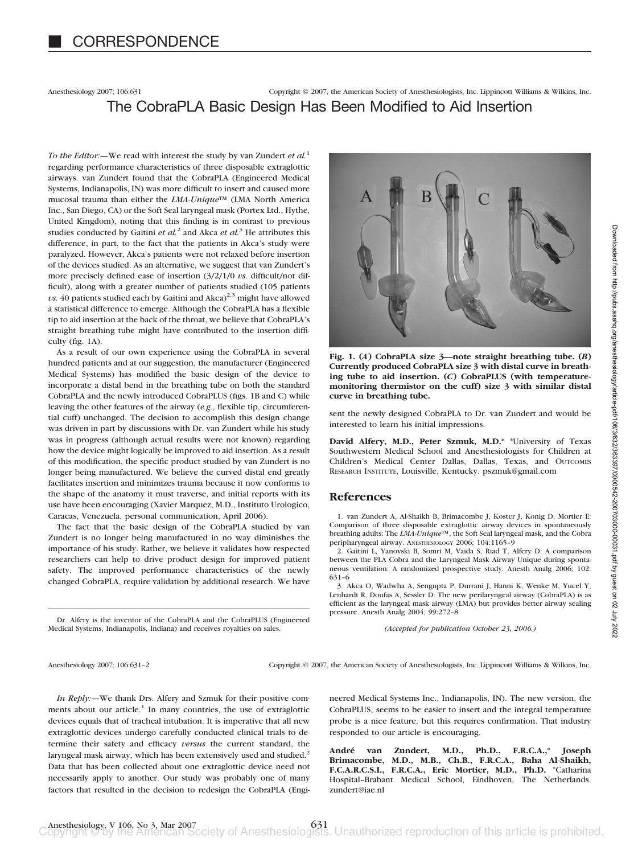Anesthesiology 2007; 106:631 Copyright © 2007, the American Society of Anesthesiologists, Inc. Lippincott Williams & Wilkins, Inc. The CobraPLA Basic Design Has Been Modified to Aid Insertion

*To the Editor:—*We read with interest the study by van Zundert *et al.*<sup>1</sup> regarding performance characteristics of three disposable extraglottic airways. van Zundert found that the CobraPLA (Engineered Medical Systems, Indianapolis, IN) was more difficult to insert and caused more mucosal trauma than either the *LMA-Unique*™ (LMA North America Inc., San Diego, CA) or the Soft Seal laryngeal mask (Portex Ltd., Hythe, United Kingdom), noting that this finding is in contrast to previous studies conducted by Gaitini *et al.*<sup>2</sup> and Akca *et al.*<sup>3</sup> He attributes this difference, in part, to the fact that the patients in Akca's study were paralyzed. However, Akca's patients were not relaxed before insertion of the devices studied. As an alternative, we suggest that van Zundert's more precisely defined ease of insertion (3/2/1/0 *vs.* difficult/not difficult), along with a greater number of patients studied (105 patients  $\nu$ s. 40 patients studied each by Gaitini and Akca)<sup>2,3</sup> might have allowed a statistical difference to emerge. Although the CobraPLA has a flexible tip to aid insertion at the back of the throat, we believe that CobraPLA's straight breathing tube might have contributed to the insertion difficulty (fig. 1A).

As a result of our own experience using the CobraPLA in several hundred patients and at our suggestion, the manufacturer (Engineered Medical Systems) has modified the basic design of the device to incorporate a distal bend in the breathing tube on both the standard CobraPLA and the newly introduced CobraPLUS (figs. 1B and C) while leaving the other features of the airway (*e.g.*, flexible tip, circumferential cuff) unchanged. The decision to accomplish this design change was driven in part by discussions with Dr. van Zundert while his study was in progress (although actual results were not known) regarding how the device might logically be improved to aid insertion. As a result of this modification, the specific product studied by van Zundert is no longer being manufactured. We believe the curved distal end greatly facilitates insertion and minimizes trauma because it now conforms to the shape of the anatomy it must traverse, and initial reports with its use have been encouraging (Xavier Marquez, M.D., Instituto Urologico, Caracas, Venezuela, personal communication, April 2006).

The fact that the basic design of the CobraPLA studied by van Zundert is no longer being manufactured in no way diminishes the importance of his study. Rather, we believe it validates how respected researchers can help to drive product design for improved patient safety. The improved performance characteristics of the newly changed CobraPLA, require validation by additional research. We have

Dr. Alfery is the inventor of the CobraPLA and the CobraPLUS (Engineered Medical Systems, Indianapolis, Indiana) and receives royalties on sales.



**Fig. 1. (***A***) CobraPLA size 3—note straight breathing tube. (***B***) Currently produced CobraPLA size 3 with distal curve in breathing tube to aid insertion. (***C***) CobraPLUS (with temperaturemonitoring thermistor on the cuff) size 3 with similar distal curve in breathing tube.**

sent the newly designed CobraPLA to Dr. van Zundert and would be interested to learn his initial impressions.

**David Alfery, M.D., Peter Szmuk, M.D.\*** \*University of Texas Southwestern Medical School and Anesthesiologists for Children at Children's Medical Center Dallas, Dallas, Texas, and OUTCOMES RESEARCH INSTITUTE, Louisville, Kentucky. pszmuk@gmail.com

## **References**

1. van Zundert A, Al-Shaikh B, Brimacombe J, Koster J, Konig D, Mortier E: Comparison of three disposable extraglottic airway devices in spontaneously breathing adults: The *LMA-Unique*™, the Soft Seal laryngeal mask, and the Cobra peripharyngeal airway. ANESTHESIOLOGY 2006; 104:1165–9

2. Gaitini L, Yanovski B, Somri M, Vaida S, Riad T, Alfery D: A comparison between the PLA Cobra and the Laryngeal Mask Airway Unique during spontaneous ventilation: A randomized prospective study. Anesth Analg 2006; 102: 631–6

3. Akca O, Wadwha A, Sengupta P, Durrani J, Hanni K, Wenke M, Yucel Y, Lenhardt R, Doufas A, Sessler D: The new perilaryngeal airway (CobraPLA) is as efficient as the laryngeal mask airway (LMA) but provides better airway sealing pressure. Anesth Analg 2004; 99:272–8

*(Accepted for publication October 23, 2006.)*

Anesthesiology 2007; 106:631-2 Copyright © 2007, the American Society of Anesthesiologists, Inc. Lippincott Williams & Wilkins, Inc.

*In Reply:—*We thank Drs. Alfery and Szmuk for their positive comments about our article.<sup>1</sup> In many countries, the use of extraglottic devices equals that of tracheal intubation. It is imperative that all new extraglottic devices undergo carefully conducted clinical trials to determine their safety and efficacy *versus* the current standard, the laryngeal mask airway, which has been extensively used and studied.<sup>2</sup> Data that has been collected about one extraglottic device need not necessarily apply to another. Our study was probably one of many factors that resulted in the decision to redesign the CobraPLA (Engineered Medical Systems Inc., Indianapolis, IN). The new version, the CobraPLUS, seems to be easier to insert and the integral temperature probe is a nice feature, but this requires confirmation. That industry responded to our article is encouraging.

**Andre´ van Zundert, M.D., Ph.D., F.R.C.A.,\* Joseph Brimacombe, M.D., M.B., Ch.B., F.R.C.A., Baha Al-Shaikh, F.C.A.R.C.S.I., F.R.C.A., Eric Mortier, M.D., Ph.D.** \*Catharina Hospital–Brabant Medical School, Eindhoven, The Netherlands. zundert@iae.nl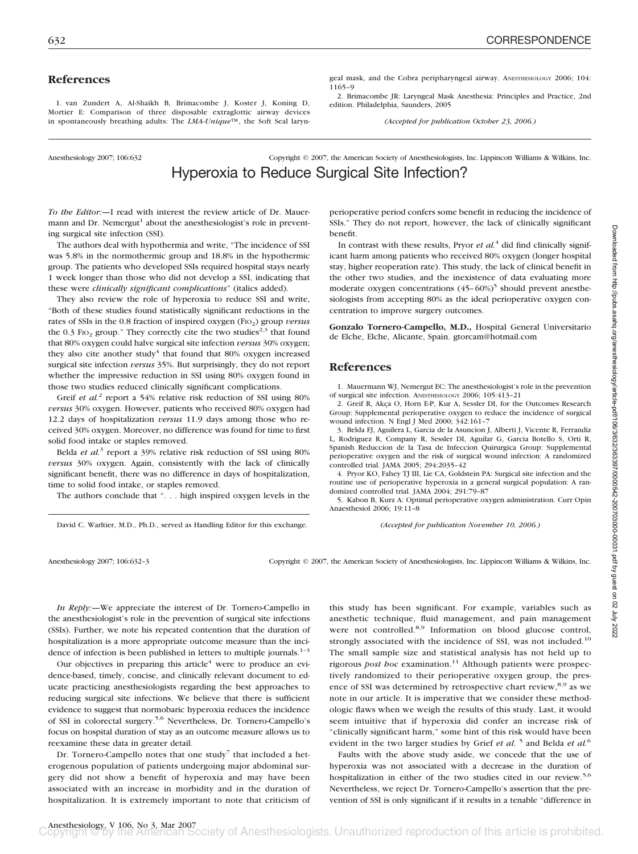## **References**

1. van Zundert A, Al-Shaikh B, Brimacombe J, Koster J, Koning D, Mortier E: Comparison of three disposable extraglottic airway devices in spontaneously breathing adults: The *LMA-Unique*™, the Soft Seal laryn-

geal mask, and the Cobra peripharyngeal airway. ANESTHESIOLOGY 2006; 104: 1165–9

2. Brimacombe JR: Laryngeal Mask Anesthesia: Principles and Practice, 2nd edition. Philadelphia, Saunders, 2005

*(Accepted for publication October 23, 2006.)*

Anesthesiology 2007; 106:632 Copyright © 2007, the American Society of Anesthesiologists, Inc. Lippincott Williams & Wilkins, Inc. Hyperoxia to Reduce Surgical Site Infection?

*To the Editor:—*I read with interest the review article of Dr. Mauermann and Dr. Nemergut<sup>1</sup> about the anesthesiologist's role in preventing surgical site infection (SSI).

The authors deal with hypothermia and write, "The incidence of SSI was 5.8% in the normothermic group and 18.8% in the hypothermic group. The patients who developed SSIs required hospital stays nearly 1 week longer than those who did not develop a SSI, indicating that these were *clinically significant complications*" (italics added).

They also review the role of hyperoxia to reduce SSI and write, "Both of these studies found statistically significant reductions in the rates of SSIs in the 0.8 fraction of inspired oxygen (FIO<sub>2</sub>) group *versus* the 0.3 Fio<sub>2</sub> group." They correctly cite the two studies<sup>2,3</sup> that found that 80% oxygen could halve surgical site infection *versus* 30% oxygen; they also cite another study<sup>4</sup> that found that 80% oxygen increased surgical site infection *versus* 35%. But surprisingly, they do not report whether the impressive reduction in SSI using 80% oxygen found in those two studies reduced clinically significant complications.

Greif *et al.*<sup>2</sup> report a 54% relative risk reduction of SSI using 80% *versus* 30% oxygen. However, patients who received 80% oxygen had 12.2 days of hospitalization *versus* 11.9 days among those who received 30% oxygen. Moreover, no difference was found for time to first solid food intake or staples removed.

Belda *et al.*<sup>3</sup> report a 39% relative risk reduction of SSI using 80% *versus* 30% oxygen. Again, consistently with the lack of clinically significant benefit, there was no difference in days of hospitalization, time to solid food intake, or staples removed.

The authors conclude that ". . . high inspired oxygen levels in the

David C. Warltier, M.D., Ph.D., served as Handling Editor for this exchange.

perioperative period confers some benefit in reducing the incidence of SSIs." They do not report, however, the lack of clinically significant benefit.

In contrast with these results, Pryor *et al.*<sup>4</sup> did find clinically significant harm among patients who received 80% oxygen (longer hospital stay, higher reoperation rate). This study, the lack of clinical benefit in the other two studies, and the inexistence of data evaluating more moderate oxygen concentrations  $(45-60%)^5$  should prevent anesthesiologists from accepting 80% as the ideal perioperative oxygen concentration to improve surgery outcomes.

**Gonzalo Tornero-Campello, M.D.,** Hospital General Universitario de Elche, Elche, Alicante, Spain. gtorcam@hotmail.com

#### **References**

1. Mauermann WJ, Nemergut EC: The anesthesiologist's role in the prevention of surgical site infection. ANESTHESIOLOGY 2006; 105:413–21

2. Greif R, Akça O, Horn E-P, Kur A, Sessler DI, for the Outcomes Research Group: Supplemental perioperative oxygen to reduce the incidence of surgical wound infection. N Engl J Med 2000; 342:161–7

3. Belda FJ, Aguilera L, Garcia de la Asuncion J, Alberti J, Vicente R, Ferrandiz L, Rodriguez R, Company R, Sessler DI, Aguilar G, Garcia Botello S, Orti R, Spanish Reduccion de la Tasa de Infeccion Quirurgica Group: Supplemental perioperative oxygen and the risk of surgical wound infection: A randomized controlled trial. JAMA 2005; 294:2035–42

4. Pryor KO, Fahey TJ III, Lie CA, Goldstein PA: Surgical site infection and the routine use of perioperative hyperoxia in a general surgical population: A randomized controlled trial. JAMA 2004; 291:79–87

5. Kabon B, Kurz A: Optimal perioperative oxygen administration. Curr Opin Anaesthesiol 2006; 19:11–8

*(Accepted for publication November 10, 2006.)*

Anesthesiology 2007; 106:632-3 Copyright © 2007, the American Society of Anesthesiologists, Inc. Lippincott Williams & Wilkins, Inc.

*In Reply:—*We appreciate the interest of Dr. Tornero-Campello in the anesthesiologist's role in the prevention of surgical site infections (SSIs). Further, we note his repeated contention that the duration of hospitalization is a more appropriate outcome measure than the incidence of infection is been published in letters to multiple journals.<sup>1-3</sup>

Our objectives in preparing this article<sup>4</sup> were to produce an evidence-based, timely, concise, and clinically relevant document to educate practicing anesthesiologists regarding the best approaches to reducing surgical site infections. We believe that there is sufficient evidence to suggest that normobaric hyperoxia reduces the incidence of SSI in colorectal surgery.5,6 Nevertheless, Dr. Tornero-Campello's focus on hospital duration of stay as an outcome measure allows us to reexamine these data in greater detail.

Dr. Tornero-Campello notes that one study<sup>7</sup> that included a heterogenous population of patients undergoing major abdominal surgery did not show a benefit of hyperoxia and may have been associated with an increase in morbidity and in the duration of hospitalization. It is extremely important to note that criticism of

this study has been significant. For example, variables such as anesthetic technique, fluid management, and pain management were not controlled.<sup>8,9</sup> Information on blood glucose control, strongly associated with the incidence of SSI, was not included.<sup>10</sup> The small sample size and statistical analysis has not held up to rigorous *post hoc* examination.<sup>11</sup> Although patients were prospectively randomized to their perioperative oxygen group, the presence of SSI was determined by retrospective chart review,<sup>8,9</sup> as we note in our article. It is imperative that we consider these methodologic flaws when we weigh the results of this study. Last, it would seem intuitive that if hyperoxia did confer an increase risk of "clinically significant harm," some hint of this risk would have been evident in the two larger studies by Grief *et al.*<sup>5</sup> and Belda *et al.*<sup>6</sup>

Faults with the above study aside, we concede that the use of hyperoxia was not associated with a decrease in the duration of hospitalization in either of the two studies cited in our review.<sup>5,6</sup> Nevertheless, we reject Dr. Tornero-Campello's assertion that the prevention of SSI is only significant if it results in a tenable "difference in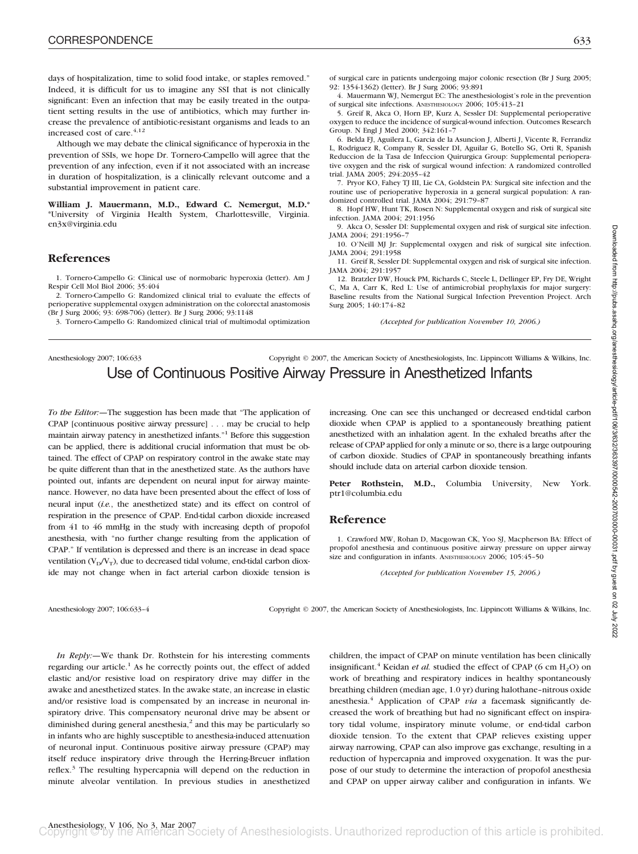days of hospitalization, time to solid food intake, or staples removed." Indeed, it is difficult for us to imagine any SSI that is not clinically significant: Even an infection that may be easily treated in the outpatient setting results in the use of antibiotics, which may further increase the prevalence of antibiotic-resistant organisms and leads to an increased cost of care. $4,12$ 

Although we may debate the clinical significance of hyperoxia in the prevention of SSIs, we hope Dr. Tornero-Campello will agree that the prevention of any infection, even if it not associated with an increase in duration of hospitalization, is a clinically relevant outcome and a substantial improvement in patient care.

**William J. Mauermann, M.D., Edward C. Nemergut, M.D.\*** \*University of Virginia Health System, Charlottesville, Virginia. en3x@virginia.edu

## **References**

1. Tornero-Campello G: Clinical use of normobaric hyperoxia (letter). Am J Respir Cell Mol Biol 2006; 35:404

2. Tornero-Campello G: Randomized clinical trial to evaluate the effects of perioperative supplemental oxygen administration on the colorectal anastomosis (Br J Surg 2006; 93: 698-706) (letter). Br J Surg 2006; 93:1148

3. Tornero-Campello G: Randomized clinical trial of multimodal optimization

4. Mauermann WJ, Nemergut EC: The anesthesiologist's role in the prevention of surgical site infections. ANESTHESIOLOGY 2006; 105:413–21

5. Greif R, Akca O, Horn EP, Kurz A, Sessler DI: Supplemental perioperative oxygen to reduce the incidence of surgical-wound infection. Outcomes Research Group. N Engl J Med 2000; 342:161–7

6. Belda FJ, Aguilera L, Garcia de la Asuncion J, Alberti J, Vicente R, Ferrandiz L, Rodriguez R, Company R, Sessler DI, Aguilar G, Botello SG, Orti R, Spanish Reduccion de la Tasa de Infeccion Quirurgica Group: Supplemental perioperative oxygen and the risk of surgical wound infection: A randomized controlled trial. JAMA 2005; 294:2035–42

7. Pryor KO, Fahey TJ III, Lie CA, Goldstein PA: Surgical site infection and the routine use of perioperative hyperoxia in a general surgical population: A randomized controlled trial. JAMA 2004; 291:79–87

8. Hopf HW, Hunt TK, Rosen N: Supplemental oxygen and risk of surgical site infection. JAMA 2004; 291:1956

9. Akca O, Sessler DI: Supplemental oxygen and risk of surgical site infection. JAMA 2004; 291:1956–7 10. O'Neill MJ Jr: Supplemental oxygen and risk of surgical site infection.

JAMA 2004; 291:1958

11. Greif R, Sessler DI: Supplemental oxygen and risk of surgical site infection. JAMA 2004; 291:1957

12. Bratzler DW, Houck PM, Richards C, Steele L, Dellinger EP, Fry DE, Wright C, Ma A, Carr K, Red L: Use of antimicrobial prophylaxis for major surgery: Baseline results from the National Surgical Infection Prevention Project. Arch Surg 2005; 140:174–82

*(Accepted for publication November 10, 2006.)*

## Anesthesiology 2007; 106:633 Copyright © 2007, the American Society of Anesthesiologists, Inc. Lippincott Williams & Wilkins, Inc. Use of Continuous Positive Airway Pressure in Anesthetized Infants

*To the Editor:—*The suggestion has been made that "The application of CPAP [continuous positive airway pressure] . . . may be crucial to help maintain airway patency in anesthetized infants."1 Before this suggestion can be applied, there is additional crucial information that must be obtained. The effect of CPAP on respiratory control in the awake state may be quite different than that in the anesthetized state. As the authors have pointed out, infants are dependent on neural input for airway maintenance. However, no data have been presented about the effect of loss of neural input (*i.e.*, the anesthetized state) and its effect on control of respiration in the presence of CPAP. End-tidal carbon dioxide increased from 41 to 46 mmHg in the study with increasing depth of propofol anesthesia, with "no further change resulting from the application of CPAP." If ventilation is depressed and there is an increase in dead space ventilation  $(V_D/V_T)$ , due to decreased tidal volume, end-tidal carbon dioxide may not change when in fact arterial carbon dioxide tension is

increasing. One can see this unchanged or decreased end-tidal carbon dioxide when CPAP is applied to a spontaneously breathing patient anesthetized with an inhalation agent. In the exhaled breaths after the release of CPAP applied for only a minute or so, there is a large outpouring of carbon dioxide. Studies of CPAP in spontaneously breathing infants should include data on arterial carbon dioxide tension.

**Peter Rothstein, M.D.,** Columbia University, New York. ptr1@columbia.edu

## **Reference**

1. Crawford MW, Rohan D, Macgowan CK, Yoo SJ, Macpherson BA: Effect of propofol anesthesia and continuous positive airway pressure on upper airway size and configuration in infants. ANESTHESIOLOGY 2006; 105:45-50

*(Accepted for publication November 15, 2006.)*

Anesthesiology 2007; 106:633-4 Copyright © 2007, the American Society of Anesthesiologists, Inc. Lippincott Williams & Wilkins, Inc.

*In Reply:—*We thank Dr. Rothstein for his interesting comments regarding our article.<sup>1</sup> As he correctly points out, the effect of added elastic and/or resistive load on respiratory drive may differ in the awake and anesthetized states. In the awake state, an increase in elastic and/or resistive load is compensated by an increase in neuronal inspiratory drive. This compensatory neuronal drive may be absent or diminished during general anesthesia, $<sup>2</sup>$  and this may be particularly so</sup> in infants who are highly susceptible to anesthesia-induced attenuation of neuronal input. Continuous positive airway pressure (CPAP) may itself reduce inspiratory drive through the Herring-Breuer inflation reflex.<sup>3</sup> The resulting hypercapnia will depend on the reduction in minute alveolar ventilation. In previous studies in anesthetized children, the impact of CPAP on minute ventilation has been clinically insignificant.<sup>4</sup> Keidan *et al.* studied the effect of CPAP (6 cm  $H_2O$ ) on work of breathing and respiratory indices in healthy spontaneously breathing children (median age, 1.0 yr) during halothane–nitrous oxide anesthesia.<sup>4</sup> Application of CPAP *via* a facemask significantly decreased the work of breathing but had no significant effect on inspiratory tidal volume, inspiratory minute volume, or end-tidal carbon dioxide tension. To the extent that CPAP relieves existing upper airway narrowing, CPAP can also improve gas exchange, resulting in a reduction of hypercapnia and improved oxygenation. It was the purpose of our study to determine the interaction of propofol anesthesia and CPAP on upper airway caliber and configuration in infants. We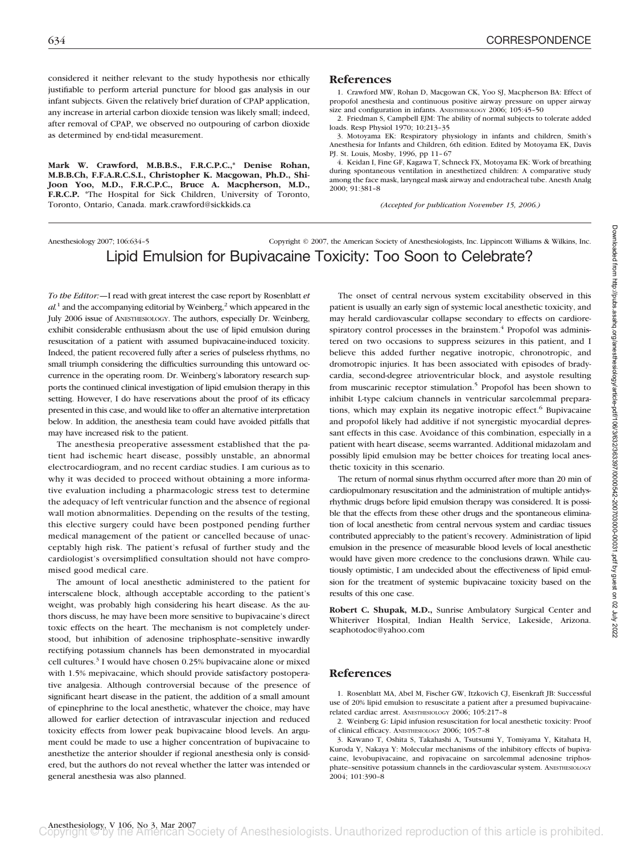considered it neither relevant to the study hypothesis nor ethically justifiable to perform arterial puncture for blood gas analysis in our infant subjects. Given the relatively brief duration of CPAP application, any increase in arterial carbon dioxide tension was likely small; indeed, after removal of CPAP, we observed no outpouring of carbon dioxide as determined by end-tidal measurement.

**Mark W. Crawford, M.B.B.S., F.R.C.P.C.,\* Denise Rohan, M.B.B.Ch, F.F.A.R.C.S.I., Christopher K. Macgowan, Ph.D., Shi-Joon Yoo, M.D., F.R.C.P.C., Bruce A. Macpherson, M.D., F.R.C.P.** \*The Hospital for Sick Children, University of Toronto, Toronto, Ontario, Canada. mark.crawford@sickkids.ca

## **References**

1. Crawford MW, Rohan D, Macgowan CK, Yoo SJ, Macpherson BA: Effect of propofol anesthesia and continuous positive airway pressure on upper airway size and configuration in infants. ANESTHESIOLOGY 2006; 105:45–50

2. Friedman S, Campbell EJM: The ability of normal subjects to tolerate added loads. Resp Physiol 1970; 10:213–35

3. Motoyama EK: Respiratory physiology in infants and children, Smith's Anesthesia for Infants and Children, 6th edition. Edited by Motoyama EK, Davis PJ. St. Louis, Mosby, 1996, pp 11– 67

4. Keidan I, Fine GF, Kagawa T, Schneck FX, Motoyama EK: Work of breathing during spontaneous ventilation in anesthetized children: A comparative study among the face mask, laryngeal mask airway and endotracheal tube. Anesth Analg 2000; 91:381–8

*(Accepted for publication November 15, 2006.)*

Anesthesiology 2007; 106:634–5 Copyright © 2007, the American Society of Anesthesiologists, Inc. Lippincott Williams & Wilkins, Inc. Lipid Emulsion for Bupivacaine Toxicity: Too Soon to Celebrate?

*To the Editor:—*I read with great interest the case report by Rosenblatt *et*  $al<sup>1</sup>$  and the accompanying editorial by Weinberg,<sup>2</sup> which appeared in the July 2006 issue of ANESTHESIOLOGY. The authors, especially Dr. Weinberg, exhibit considerable enthusiasm about the use of lipid emulsion during resuscitation of a patient with assumed bupivacaine-induced toxicity. Indeed, the patient recovered fully after a series of pulseless rhythms, no small triumph considering the difficulties surrounding this untoward occurrence in the operating room. Dr. Weinberg's laboratory research supports the continued clinical investigation of lipid emulsion therapy in this setting. However, I do have reservations about the proof of its efficacy presented in this case, and would like to offer an alternative interpretation below. In addition, the anesthesia team could have avoided pitfalls that may have increased risk to the patient.

The anesthesia preoperative assessment established that the patient had ischemic heart disease, possibly unstable, an abnormal electrocardiogram, and no recent cardiac studies. I am curious as to why it was decided to proceed without obtaining a more informative evaluation including a pharmacologic stress test to determine the adequacy of left ventricular function and the absence of regional wall motion abnormalities. Depending on the results of the testing, this elective surgery could have been postponed pending further medical management of the patient or cancelled because of unacceptably high risk. The patient's refusal of further study and the cardiologist's oversimplified consultation should not have compromised good medical care.

The amount of local anesthetic administered to the patient for interscalene block, although acceptable according to the patient's weight, was probably high considering his heart disease. As the authors discuss, he may have been more sensitive to bupivacaine's direct toxic effects on the heart. The mechanism is not completely understood, but inhibition of adenosine triphosphate–sensitive inwardly rectifying potassium channels has been demonstrated in myocardial cell cultures.<sup>3</sup> I would have chosen 0.25% bupivacaine alone or mixed with 1.5% mepivacaine, which should provide satisfactory postoperative analgesia. Although controversial because of the presence of significant heart disease in the patient, the addition of a small amount of epinephrine to the local anesthetic, whatever the choice, may have allowed for earlier detection of intravascular injection and reduced toxicity effects from lower peak bupivacaine blood levels. An argument could be made to use a higher concentration of bupivacaine to anesthetize the anterior shoulder if regional anesthesia only is considered, but the authors do not reveal whether the latter was intended or general anesthesia was also planned.

The onset of central nervous system excitability observed in this patient is usually an early sign of systemic local anesthetic toxicity, and may herald cardiovascular collapse secondary to effects on cardiorespiratory control processes in the brainstem. $4$  Propofol was administered on two occasions to suppress seizures in this patient, and I believe this added further negative inotropic, chronotropic, and dromotropic injuries. It has been associated with episodes of bradycardia, second-degree atrioventricular block, and asystole resulting from muscarinic receptor stimulation.<sup>5</sup> Propofol has been shown to inhibit L-type calcium channels in ventricular sarcolemmal preparations, which may explain its negative inotropic effect.<sup>6</sup> Bupivacaine and propofol likely had additive if not synergistic myocardial depressant effects in this case. Avoidance of this combination, especially in a patient with heart disease, seems warranted. Additional midazolam and possibly lipid emulsion may be better choices for treating local anesthetic toxicity in this scenario.

The return of normal sinus rhythm occurred after more than 20 min of cardiopulmonary resuscitation and the administration of multiple antidysrhythmic drugs before lipid emulsion therapy was considered. It is possible that the effects from these other drugs and the spontaneous elimination of local anesthetic from central nervous system and cardiac tissues contributed appreciably to the patient's recovery. Administration of lipid emulsion in the presence of measurable blood levels of local anesthetic would have given more credence to the conclusions drawn. While cautiously optimistic, I am undecided about the effectiveness of lipid emulsion for the treatment of systemic bupivacaine toxicity based on the results of this one case.

**Robert C. Shupak, M.D.,** Sunrise Ambulatory Surgical Center and Whiteriver Hospital, Indian Health Service, Lakeside, Arizona. seaphotodoc@yahoo.com

#### **References**

1. Rosenblatt MA, Abel M, Fischer GW, Itzkovich CJ, Eisenkraft JB: Successful use of 20% lipid emulsion to resuscitate a patient after a presumed bupivacainerelated cardiac arrest. ANESTHESIOLOGY 2006; 105:217–8

2. Weinberg G: Lipid infusion resuscitation for local anesthetic toxicity: Proof of clinical efficacy. ANESTHESIOLOGY 2006; 105:7–8

3. Kawano T, Oshita S, Takahashi A, Tsutsumi Y, Tomiyama Y, Kitahata H, Kuroda Y, Nakaya Y: Molecular mechanisms of the inhibitory effects of bupivacaine, levobupivacaine, and ropivacaine on sarcolemmal adenosine triphosphate–sensitive potassium channels in the cardiovascular system. ANESTHESIOLOGY 2004; 101:390–8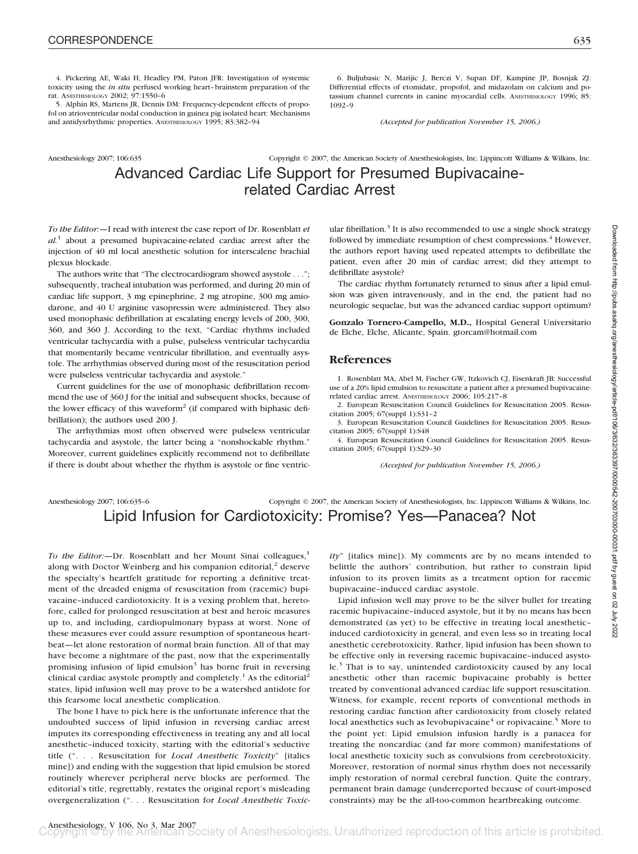4. Pickering AE, Waki H, Headley PM, Paton JFR: Investigation of systemic toxicity using the *in situ* perfused working heart– brainstem preparation of the rat. ANESTHESIOLOGY 2002; 97:1550–6

5. Alphin RS, Martens JR, Dennis DM: Frequency-dependent effects of propofol on atrioventricular nodal conduction in guinea pig isolated heart: Mechanisms and antidysrhythmic properties. ANESTHESIOLOGY 1995; 83:382–94

6. Buljubasic N, Marijic J, Berczi V, Supan DF, Kampine JP, Bosnjak ZJ: Differential effects of etomidate, propofol, and midazolam on calcium and potassium channel currents in canine myocardial cells. ANESTHESIOLOGY 1996; 85: 1092–9

*(Accepted for publication November 15, 2006.)*

# Anesthesiology 2007; 106:635 Copyright © 2007, the American Society of Anesthesiologists, Inc. Lippincott Williams & Wilkins, Inc. Advanced Cardiac Life Support for Presumed Bupivacainerelated Cardiac Arrest

*To the Editor:—*I read with interest the case report of Dr. Rosenblatt *et al.*<sup>1</sup> about a presumed bupivacaine-related cardiac arrest after the injection of 40 ml local anesthetic solution for interscalene brachial plexus blockade.

The authors write that "The electrocardiogram showed asystole . . ."; subsequently, tracheal intubation was performed, and during 20 min of cardiac life support, 3 mg epinephrine, 2 mg atropine, 300 mg amiodarone, and 40 U arginine vasopressin were administered. They also used monophasic defibrillation at escalating energy levels of 200, 300, 360, and 360 J. According to the text, "Cardiac rhythms included ventricular tachycardia with a pulse, pulseless ventricular tachycardia that momentarily became ventricular fibrillation, and eventually asystole. The arrhythmias observed during most of the resuscitation period were pulseless ventricular tachycardia and asystole."

Current guidelines for the use of monophasic defibrillation recommend the use of 360 J for the initial and subsequent shocks, because of the lower efficacy of this waveform<sup>2</sup> (if compared with biphasic defibrillation); the authors used 200 J.

The arrhythmias most often observed were pulseless ventricular tachycardia and asystole, the latter being a "nonshockable rhythm." Moreover, current guidelines explicitly recommend not to defibrillate if there is doubt about whether the rhythm is asystole or fine ventricular fibrillation.<sup>3</sup> It is also recommended to use a single shock strategy followed by immediate resumption of chest compressions.<sup>4</sup> However, the authors report having used repeated attempts to defibrillate the patient, even after 20 min of cardiac arrest; did they attempt to defibrillate asystole?

The cardiac rhythm fortunately returned to sinus after a lipid emulsion was given intravenously, and in the end, the patient had no neurologic sequelae, but was the advanced cardiac support optimum?

**Gonzalo Tornero-Campello, M.D.,** Hospital General Universitario de Elche, Elche, Alicante, Spain. gtorcam@hotmail.com

## **References**

1. Rosenblatt MA, Abel M, Fischer GW, Itzkovich CJ, Eisenkraft JB: Successful use of a 20% lipid emulsion to resuscitate a patient after a presumed bupivacainerelated cardiac arrest. ANESTHESIOLOGY 2006; 105:217–8

2. European Resuscitation Council Guidelines for Resuscitation 2005. Resuscitation 2005; 67(suppl 1):S31–2

3. European Resuscitation Council Guidelines for Resuscitation 2005. Resuscitation 2005; 67(suppl 1):S48

4. European Resuscitation Council Guidelines for Resuscitation 2005. Resuscitation 2005; 67(suppl 1):S29–30

*(Accepted for publication November 15, 2006.)*

# Anesthesiology 2007; 106:635–6 Copyright © 2007, the American Society of Anesthesiologists, Inc. Lippincott Williams & Wilkins, Inc. Lipid Infusion for Cardiotoxicity: Promise? Yes—Panacea? Not

*To the Editor:*—Dr. Rosenblatt and her Mount Sinai colleagues,<sup>1</sup> along with Doctor Weinberg and his companion editorial, $2$  deserve the specialty's heartfelt gratitude for reporting a definitive treatment of the dreaded enigma of resuscitation from (racemic) bupivacaine–induced cardiotoxicity. It is a vexing problem that, heretofore, called for prolonged resuscitation at best and heroic measures up to, and including, cardiopulmonary bypass at worst. None of these measures ever could assure resumption of spontaneous heartbeat—let alone restoration of normal brain function. All of that may have become a nightmare of the past, now that the experimentally promising infusion of lipid emulsion<sup>3</sup> has borne fruit in reversing clinical cardiac asystole promptly and completely.<sup>1</sup> As the editorial<sup>2</sup> states, lipid infusion well may prove to be a watershed antidote for this fearsome local anesthetic complication.

The bone I have to pick here is the unfortunate inference that the undoubted success of lipid infusion in reversing cardiac arrest imputes its corresponding effectiveness in treating any and all local anesthetic–induced toxicity, starting with the editorial's seductive title (". . . Resuscitation for *Local Anesthetic Toxicity*" [italics mine]) and ending with the suggestion that lipid emulsion be stored routinely wherever peripheral nerve blocks are performed. The editorial's title, regrettably, restates the original report's misleading overgeneralization (". . . Resuscitation for *Local Anesthetic Toxic-*

*ity*" [italics mine]). My comments are by no means intended to belittle the authors' contribution, but rather to constrain lipid infusion to its proven limits as a treatment option for racemic bupivacaine–induced cardiac asystole.

Lipid infusion well may prove to be the silver bullet for treating racemic bupivacaine–induced asystole, but it by no means has been demonstrated (as yet) to be effective in treating local anesthetic– induced cardiotoxicity in general, and even less so in treating local anesthetic cerebrotoxicity. Rather, lipid infusion has been shown to be effective only in reversing racemic bupivacaine–induced asystole.<sup>3</sup> That is to say, unintended cardiotoxicity caused by any local anesthetic other than racemic bupivacaine probably is better treated by conventional advanced cardiac life support resuscitation. Witness, for example, recent reports of conventional methods in restoring cardiac function after cardiotoxicity from closely related local anesthetics such as levobupivacaine<sup>4</sup> or ropivacaine.<sup>5</sup> More to the point yet: Lipid emulsion infusion hardly is a panacea for treating the noncardiac (and far more common) manifestations of local anesthetic toxicity such as convulsions from cerebrotoxicity. Moreover, restoration of normal sinus rhythm does not necessarily imply restoration of normal cerebral function. Quite the contrary, permanent brain damage (underreported because of court-imposed constraints) may be the all-too-common heartbreaking outcome.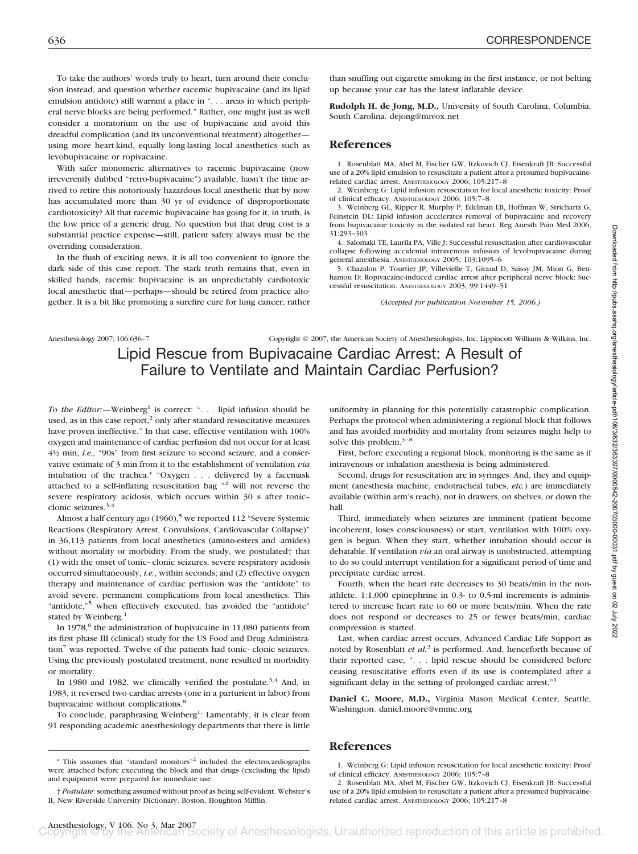To take the authors' words truly to heart, turn around their conclusion instead, and question whether racemic bupivacaine (and its lipid emulsion antidote) still warrant a place in ". . . areas in which peripheral nerve blocks are being performed." Rather, one might just as well consider a moratorium on the use of bupivacaine and avoid this dreadful complication (and its unconventional treatment) altogether using more heart-kind, equally long-lasting local anesthetics such as levobupivacaine or ropivacaine.

With safer monomeric alternatives to racemic bupivacaine (now irreverently dubbed "retro-bupivacaine") available, hasn't the time arrived to retire this notoriously hazardous local anesthetic that by now has accumulated more than 30 yr of evidence of disproportionate cardiotoxicity? All that racemic bupivacaine has going for it, in truth, is the low price of a generic drug. No question but that drug cost is a substantial practice expense—still, patient safety always must be the overriding consideration.

In the flush of exciting news, it is all too convenient to ignore the dark side of this case report. The stark truth remains that, even in skilled hands, racemic bupivacaine is an unpredictably cardiotoxic local anesthetic that—perhaps—should be retired from practice altogether. It is a bit like promoting a surefire cure for lung cancer, rather than snuffing out cigarette smoking in the first instance, or not belting up because your car has the latest inflatable device.

**Rudolph H. de Jong, M.D.,** University of South Carolina, Columbia, South Carolina. dejong@nuvox.net

#### **References**

1. Rosenblatt MA, Abel M, Fischer GW, Itzkovich CJ, Eisenkraft JB: Successful use of a 20% lipid emulsion to resuscitate a patient after a presumed bupivacainerelated cardiac arrest. ANESTHESIOLOGY 2006; 105:217–8

2. Weinberg G: Lipid infusion resuscitation for local anesthetic toxicity: Proof of clinical efficacy. ANESTHESIOLOGY 2006; 105:7–8

3. Weinberg GL, Ripper R, Murphy P, Edelman LB, Hoffman W, Strichartz G, Feinstein DL: Lipid infusion accelerates removal of bupivacaine and recovery from bupivacaine toxicity in the isolated rat heart. Reg Anesth Pain Med 2006; 31:293–303

4. Salomaki TE, Laurila PA, Ville J: Successful resuscitation after cardiovascular collapse following accidental intravenous infusion of levobupivacaine during general anesthesia. ANESTHESIOLOGY 2005; 103:1095–6

5. Chazalon P, Tourtier JP, Villevielle T, Giraud D, Saïssy JM, Mion G, Benhamou D: Ropivacaine-induced cardiac arrest after peripheral nerve block: Successful resuscitation. ANESTHESIOLOGY 2003; 99:1449–51

*(Accepted for publication November 15, 2006.)*

Anesthesiology 2007; 106:636–7 Copyright © 2007, the American Society of Anesthesiologists, Inc. Lippincott Williams & Wilkins, Inc.

# Lipid Rescue from Bupivacaine Cardiac Arrest: A Result of Failure to Ventilate and Maintain Cardiac Perfusion?

*To the Editor:*—Weinberg<sup>1</sup> is correct: ". . . lipid infusion should be used, as in this case  $report<sub>i</sub><sup>2</sup>$  only after standard resuscitative measures have proven ineffective." In that case, effective ventilation with 100% oxygen and maintenance of cardiac perfusion did not occur for at least 4½ min, *i.e.*, "90s" from first seizure to second seizure, and a conservative estimate of 3 min from it to the establishment of ventilation *via* intubation of the trachea.\* "Oxygen... delivered by a facemask attached to a self-inflating resuscitation bag "2 will not reverse the severe respiratory acidosis, which occurs within 30 s after tonic– clonic seizures.<sup>3,4</sup>

Almost a half century ago  $(1960)$ ,<sup>5</sup> we reported 112 "Severe Systemic Reactions (Respiratory Arrest, Convulsions, Cardiovascular Collapse)" in 36,113 patients from local anesthetics (amino-esters and -amides) without mortality or morbidity. From the study, we postulated† that (1) with the onset of tonic–clonic seizures, severe respiratory acidosis occurred simultaneously, *i.e.*, within seconds; and (2) effective oxygen therapy and maintenance of cardiac perfusion was the "antidote" to avoid severe, permanent complications from local anesthetics. This "antidote,"<sup>5</sup> when effectively executed, has avoided the "antidote" stated by Weinberg.<sup>1</sup>

In  $1978$ , the administration of bupivacaine in  $11,080$  patients from its first phase III (clinical) study for the US Food and Drug Administration<sup>7</sup> was reported. Twelve of the patients had tonic-clonic seizures. Using the previously postulated treatment, none resulted in morbidity or mortality.

In 1980 and 1982, we clinically verified the postulate.<sup>3,4</sup> And, in 1983, it reversed two cardiac arrests (one in a parturient in labor) from bupivacaine without complications.<sup>8</sup>

To conclude, paraphrasing Weinberg<sup>1</sup>: Lamentably, it is clear from 91 responding academic anesthesiology departments that there is little

uniformity in planning for this potentially catastrophic complication. Perhaps the protocol when administering a regional block that follows and has avoided morbidity and mortality from seizures might help to solve this problem.<sup>3-8</sup>

First, before executing a regional block, monitoring is the same as if intravenous or inhalation anesthesia is being administered.

Second, drugs for resuscitation are in syringes. And, they and equipment (anesthesia machine, endotracheal tubes, *etc.*) are immediately available (within arm's reach), not in drawers, on shelves, or down the hall.

Third, immediately when seizures are imminent (patient become incoherent, loses consciousness) or start, ventilation with 100% oxygen is begun. When they start, whether intubation should occur is debatable. If ventilation *via* an oral airway is unobstructed, attempting to do so could interrupt ventilation for a significant period of time and precipitate cardiac arrest.

Fourth, when the heart rate decreases to 30 beats/min in the nonathlete, 1:1,000 epinephrine in 0.3- to 0.5-ml increments is administered to increase heart rate to 60 or more beats/min. When the rate does not respond or decreases to 25 or fewer beats/min, cardiac compression is started.

Last, when cardiac arrest occurs, Advanced Cardiac Life Support as noted by Rosenblatt *et al.*<sup>2</sup> is performed. And, henceforth because of their reported case, ". . . lipid rescue should be considered before ceasing resuscitative efforts even if its use is contemplated after a significant delay in the setting of prolonged cardiac arrest."<sup>1</sup>

**Daniel C. Moore, M.D.,** Virginia Mason Medical Center, Seattle, Washington. daniel.moore@vmmc.org

## **References**

<sup>\*</sup> This assumes that "standard monitors"<sup>2</sup> included the electrocardiographs were attached before executing the block and that drugs (excluding the lipid) and equipment were prepared for immediate use.

<sup>†</sup> *Postulate*: something assumed without proof as being self-evident. Webster's II, New Riverside University Dictionary. Boston, Houghton Mifflin.

<sup>1.</sup> Weinberg G: Lipid infusion resuscitation for local anesthetic toxicity: Proof of clinical efficacy. ANESTHESIOLOGY 2006; 105:7–8

<sup>2.</sup> Rosenblatt MA, Abel M, Fischer GW, Itzkovich CJ, Eisenkraft JB: Successful use of a 20% lipid emulsion to resuscitate a patient after a presumed bupivacainerelated cardiac arrest. ANESTHESIOLOGY 2006; 105:217–8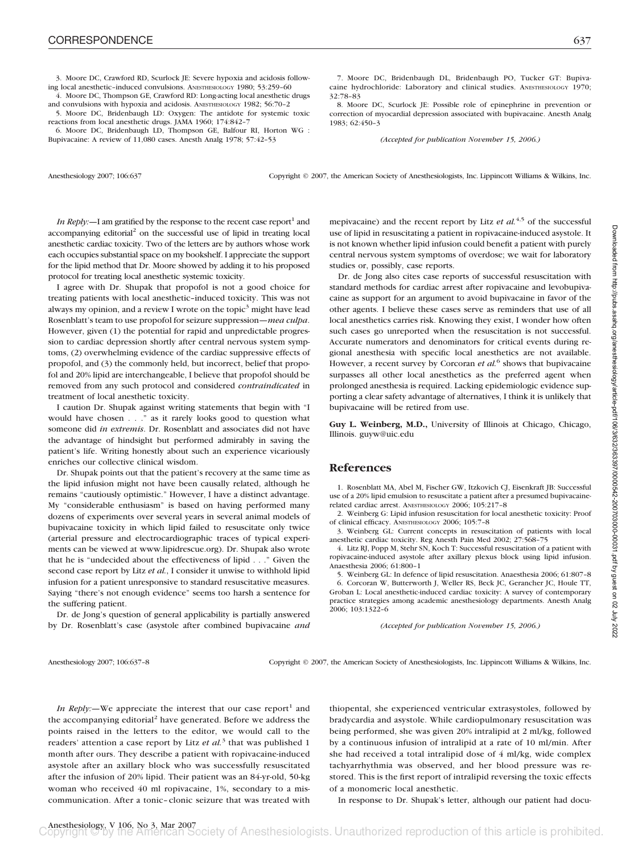3. Moore DC, Crawford RD, Scurlock JE: Severe hypoxia and acidosis following local anesthetic–induced convulsions. ANESTHESIOLOGY 1980; 53:259–60

4. Moore DC, Thompson GE, Crawford RD: Long-acting local anesthetic drugs and convulsions with hypoxia and acidosis. ANESTHESIOLOGY 1982; 56:70–2

5. Moore DC, Bridenbaugh LD: Oxygen: The antidote for systemic toxic reactions from local anesthetic drugs. JAMA 1960; 174:842–7

6. Moore DC, Bridenbaugh LD, Thompson GE, Balfour RI, Horton WG : Bupivacaine: A review of 11,080 cases. Anesth Analg 1978; 57:42–53

8. Moore DC, Scurlock JE: Possible role of epinephrine in prevention or correction of myocardial depression associated with bupivacaine. Anesth Analg 1983; 62:450–3

*(Accepted for publication November 15, 2006.)*

Anesthesiology 2007; 106:637 Copyright © 2007, the American Society of Anesthesiologists, Inc. Lippincott Williams & Wilkins, Inc.

*In Reply:*—I am gratified by the response to the recent case report<sup>1</sup> and accompanying editorial<sup>2</sup> on the successful use of lipid in treating local anesthetic cardiac toxicity. Two of the letters are by authors whose work each occupies substantial space on my bookshelf. I appreciate the support for the lipid method that Dr. Moore showed by adding it to his proposed protocol for treating local anesthetic systemic toxicity.

I agree with Dr. Shupak that propofol is not a good choice for treating patients with local anesthetic–induced toxicity. This was not always my opinion, and a review I wrote on the topic<sup>3</sup> might have lead Rosenblatt's team to use propofol for seizure suppression—*mea culpa*. However, given (1) the potential for rapid and unpredictable progression to cardiac depression shortly after central nervous system symptoms, (2) overwhelming evidence of the cardiac suppressive effects of propofol, and (3) the commonly held, but incorrect, belief that propofol and 20% lipid are interchangeable, I believe that propofol should be removed from any such protocol and considered *contraindicated* in treatment of local anesthetic toxicity.

I caution Dr. Shupak against writing statements that begin with "I would have chosen . . ." as it rarely looks good to question what someone did *in extremis*. Dr. Rosenblatt and associates did not have the advantage of hindsight but performed admirably in saving the patient's life. Writing honestly about such an experience vicariously enriches our collective clinical wisdom.

Dr. Shupak points out that the patient's recovery at the same time as the lipid infusion might not have been causally related, although he remains "cautiously optimistic." However, I have a distinct advantage. My "considerable enthusiasm" is based on having performed many dozens of experiments over several years in several animal models of bupivacaine toxicity in which lipid failed to resuscitate only twice (arterial pressure and electrocardiographic traces of typical experiments can be viewed at www.lipidrescue.org). Dr. Shupak also wrote that he is "undecided about the effectiveness of lipid . . ." Given the second case report by Litz *et al.*, I consider it unwise to withhold lipid infusion for a patient unresponsive to standard resuscitative measures. Saying "there's not enough evidence" seems too harsh a sentence for the suffering patient.

Dr. de Jong's question of general applicability is partially answered by Dr. Rosenblatt's case (asystole after combined bupivacaine *and* mepivacaine) and the recent report by Litz *et al.*<sup>4,5</sup> of the successful use of lipid in resuscitating a patient in ropivacaine-induced asystole. It is not known whether lipid infusion could benefit a patient with purely central nervous system symptoms of overdose; we wait for laboratory studies or, possibly, case reports.

Dr. de Jong also cites case reports of successful resuscitation with standard methods for cardiac arrest after ropivacaine and levobupivacaine as support for an argument to avoid bupivacaine in favor of the other agents. I believe these cases serve as reminders that use of all local anesthetics carries risk. Knowing they exist, I wonder how often such cases go unreported when the resuscitation is not successful. Accurate numerators and denominators for critical events during regional anesthesia with specific local anesthetics are not available. However, a recent survey by Corcoran *et al.*<sup>6</sup> shows that bupivacaine surpasses all other local anesthetics as the preferred agent when prolonged anesthesia is required. Lacking epidemiologic evidence supporting a clear safety advantage of alternatives, I think it is unlikely that bupivacaine will be retired from use.

**Guy L. Weinberg, M.D.,** University of Illinois at Chicago, Chicago, Illinois. guyw@uic.edu

## **References**

1. Rosenblatt MA, Abel M, Fischer GW, Itzkovich CJ, Eisenkraft JB: Successful use of a 20% lipid emulsion to resuscitate a patient after a presumed bupivacainerelated cardiac arrest. ANESTHESIOLOGY 2006; 105:217–8

2. Weinberg G: Lipid infusion resuscitation for local anesthetic toxicity: Proof of clinical efficacy. ANESTHESIOLOGY 2006; 105:7–8

3. Weinberg GL: Current concepts in resuscitation of patients with local anesthetic cardiac toxicity. Reg Anesth Pain Med 2002; 27:568–75

4. Litz RJ, Popp M, Stehr SN, Koch T: Successful resuscitation of a patient with ropivacaine-induced asystole after axillary plexus block using lipid infusion. Anaesthesia 2006; 61:800–1

5. Weinberg GL: In defence of lipid resuscitation. Anaesthesia 2006; 61:807–8 6. Corcoran W, Butterworth J, Weller RS, Beck JC, Gerancher JC, Houle TT, Groban L: Local anesthetic-induced cardiac toxicity: A survey of contemporary practice strategies among academic anesthesiology departments. Anesth Analg 2006; 103:1322–6

*(Accepted for publication November 15, 2006.)*

Anesthesiology 2007; 106:637–8 Copyright © 2007, the American Society of Anesthesiologists, Inc. Lippincott Williams & Wilkins, Inc.

*In Reply:*—We appreciate the interest that our case report<sup>1</sup> and the accompanying editorial<sup>2</sup> have generated. Before we address the points raised in the letters to the editor, we would call to the readers' attention a case report by Litz *et al.*<sup>3</sup> that was published 1 month after ours. They describe a patient with ropivacaine-induced asystole after an axillary block who was successfully resuscitated after the infusion of 20% lipid. Their patient was an 84-yr-old, 50-kg woman who received 40 ml ropivacaine, 1%, secondary to a miscommunication. After a tonic–clonic seizure that was treated with

thiopental, she experienced ventricular extrasystoles, followed by bradycardia and asystole. While cardiopulmonary resuscitation was being performed, she was given 20% intralipid at 2 ml/kg, followed by a continuous infusion of intralipid at a rate of 10 ml/min. After she had received a total intralipid dose of 4 ml/kg, wide complex tachyarrhythmia was observed, and her blood pressure was restored. This is the first report of intralipid reversing the toxic effects of a monomeric local anesthetic.

In response to Dr. Shupak's letter, although our patient had docu-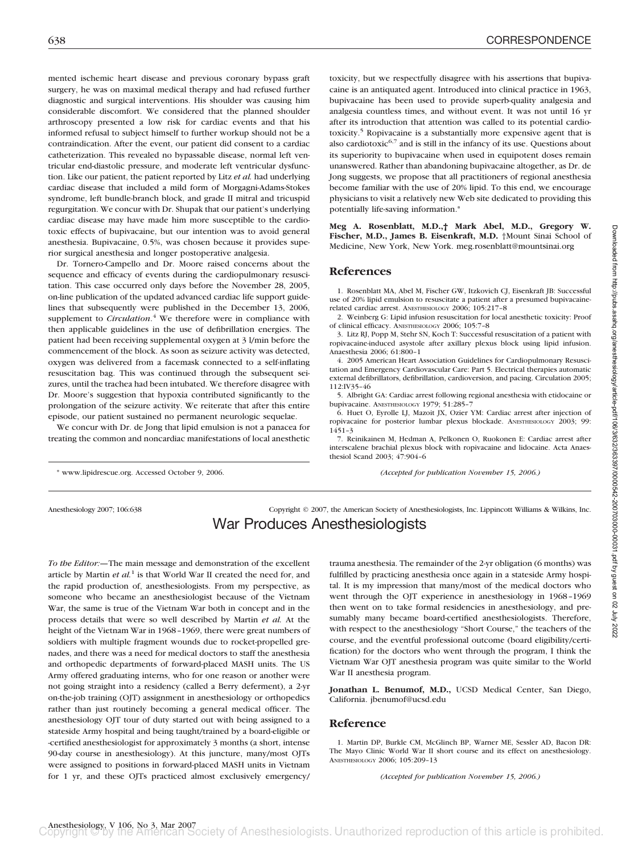mented ischemic heart disease and previous coronary bypass graft surgery, he was on maximal medical therapy and had refused further diagnostic and surgical interventions. His shoulder was causing him considerable discomfort. We considered that the planned shoulder arthroscopy presented a low risk for cardiac events and that his informed refusal to subject himself to further workup should not be a contraindication. After the event, our patient did consent to a cardiac catheterization. This revealed no bypassable disease, normal left ventricular end-diastolic pressure, and moderate left ventricular dysfunction. Like our patient, the patient reported by Litz *et al.* had underlying cardiac disease that included a mild form of Morgagni-Adams-Stokes syndrome, left bundle-branch block, and grade II mitral and tricuspid regurgitation. We concur with Dr. Shupak that our patient's underlying cardiac disease may have made him more susceptible to the cardiotoxic effects of bupivacaine, but our intention was to avoid general anesthesia. Bupivacaine, 0.5%, was chosen because it provides superior surgical anesthesia and longer postoperative analgesia.

Dr. Tornero-Campello and Dr. Moore raised concerns about the sequence and efficacy of events during the cardiopulmonary resuscitation. This case occurred only days before the November 28, 2005, on-line publication of the updated advanced cardiac life support guidelines that subsequently were published in the December 13, 2006, supplement to *Circulation*. <sup>4</sup> We therefore were in compliance with then applicable guidelines in the use of defibrillation energies. The patient had been receiving supplemental oxygen at 3 l/min before the commencement of the block. As soon as seizure activity was detected, oxygen was delivered from a facemask connected to a self-inflating resuscitation bag. This was continued through the subsequent seizures, until the trachea had been intubated. We therefore disagree with Dr. Moore's suggestion that hypoxia contributed significantly to the prolongation of the seizure activity. We reiterate that after this entire episode, our patient sustained no permanent neurologic sequelae.

We concur with Dr. de Jong that lipid emulsion is not a panacea for treating the common and noncardiac manifestations of local anesthetic

www.lipidrescue.org. Accessed October 9, 2006.

toxicity, but we respectfully disagree with his assertions that bupivacaine is an antiquated agent. Introduced into clinical practice in 1963, bupivacaine has been used to provide superb-quality analgesia and analgesia countless times, and without event. It was not until 16 yr after its introduction that attention was called to its potential cardiotoxicity.<sup>5</sup> Ropivacaine is a substantially more expensive agent that is also cardiotoxic $6.7$  and is still in the infancy of its use. Questions about its superiority to bupivacaine when used in equipotent doses remain unanswered. Rather than abandoning bupivacaine altogether, as Dr. de Jong suggests, we propose that all practitioners of regional anesthesia become familiar with the use of 20% lipid. To this end, we encourage physicians to visit a relatively new Web site dedicated to providing this potentially life-saving information.\*

**Meg A. Rosenblatt, M.D.,† Mark Abel, M.D., Gregory W. Fischer, M.D., James B. Eisenkraft, M.D.** †Mount Sinai School of Medicine, New York, New York. meg.rosenblatt@mountsinai.org

## **References**

1. Rosenblatt MA, Abel M, Fischer GW, Itzkovich CJ, Eisenkraft JB: Successful use of 20% lipid emulsion to resuscitate a patient after a presumed bupivacainerelated cardiac arrest. ANESTHESIOLOGY 2006; 105:217–8

2. Weinberg G: Lipid infusion resuscitation for local anesthetic toxicity: Proof of clinical efficacy. ANESTHESIOLOGY 2006; 105:7–8

3. Litz RJ, Popp M, Stehr SN, Koch T: Successful resuscitation of a patient with ropivacaine-induced asystole after axillary plexus block using lipid infusion. Anaesthesia 2006; 61:800–1

4. 2005 American Heart Association Guidelines for Cardiopulmonary Resuscitation and Emergency Cardiovascular Care: Part 5. Electrical therapies automatic external defibrillators, defibrillation, cardioversion, and pacing. Circulation 2005; 112:IV35–46

5. Albright GA: Cardiac arrest following regional anesthesia with etidocaine or bupivacaine. ANESTHESIOLOGY 1979; 51:285-

6. Huet O, Eyrolle LJ, Mazoit JX, Ozier YM: Cardiac arrest after injection of ropivacaine for posterior lumbar plexus blockade. ANESTHESIOLOGY 2003; 99: 1451–3

7. Reinikainen M, Hedman A, Pelkonen O, Ruokonen E: Cardiac arrest after interscalene brachial plexus block with ropivacaine and lidocaine. Acta Anaesthesiol Scand 2003; 47:904–6

*(Accepted for publication November 15, 2006.)*

Anesthesiology 2007; 106:638 Copyright © 2007, the American Society of Anesthesiologists, Inc. Lippincott Williams & Wilkins, Inc. War Produces Anesthesiologists

*To the Editor:—*The main message and demonstration of the excellent article by Martin *et al.*<sup>1</sup> is that World War II created the need for, and the rapid production of, anesthesiologists. From my perspective, as someone who became an anesthesiologist because of the Vietnam War, the same is true of the Vietnam War both in concept and in the process details that were so well described by Martin *et al.* At the height of the Vietnam War in 1968 –1969, there were great numbers of soldiers with multiple fragment wounds due to rocket-propelled grenades, and there was a need for medical doctors to staff the anesthesia and orthopedic departments of forward-placed MASH units. The US Army offered graduating interns, who for one reason or another were not going straight into a residency (called a Berry deferment), a 2-yr on-the-job training (OJT) assignment in anesthesiology or orthopedics rather than just routinely becoming a general medical officer. The anesthesiology OJT tour of duty started out with being assigned to a stateside Army hospital and being taught/trained by a board-eligible or -certified anesthesiologist for approximately 3 months (a short, intense 90-day course in anesthesiology). At this juncture, many/most OJTs were assigned to positions in forward-placed MASH units in Vietnam for 1 yr, and these OJTs practiced almost exclusively emergency/

trauma anesthesia. The remainder of the 2-yr obligation (6 months) was fulfilled by practicing anesthesia once again in a stateside Army hospital. It is my impression that many/most of the medical doctors who went through the OJT experience in anesthesiology in 1968 –1969 then went on to take formal residencies in anesthesiology, and presumably many became board-certified anesthesiologists. Therefore, with respect to the anesthesiology "Short Course," the teachers of the course, and the eventful professional outcome (board eligibility/certification) for the doctors who went through the program, I think the Vietnam War OJT anesthesia program was quite similar to the World War II anesthesia program.

**Jonathan L. Benumof, M.D.,** UCSD Medical Center, San Diego, California. jbenumof@ucsd.edu

## **Reference**

1. Martin DP, Burkle CM, McGlinch BP, Warner ME, Sessler AD, Bacon DR: The Mayo Clinic World War II short course and its effect on anesthesiology. ANESTHESIOLOGY 2006; 105:209–13

*(Accepted for publication November 15, 2006.)*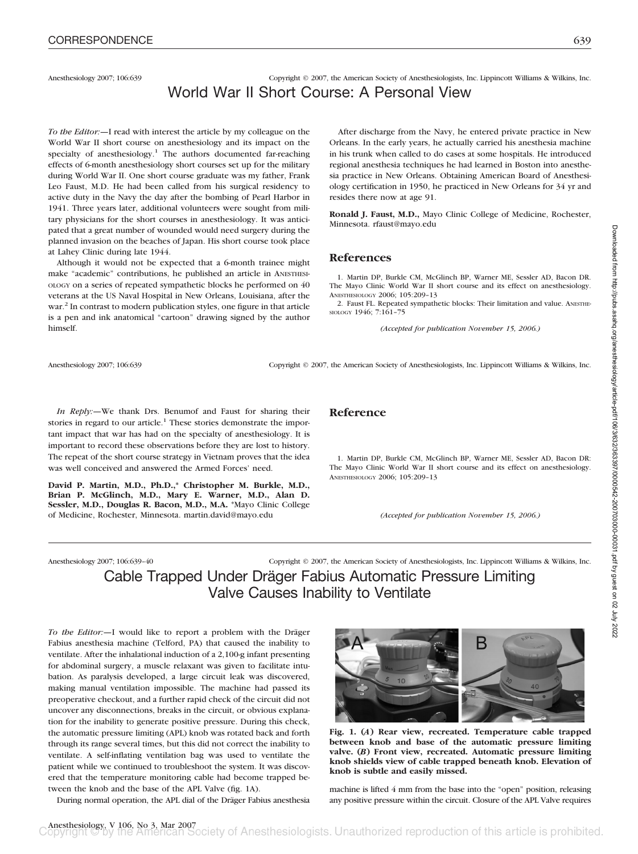Anesthesiology 2007; 106:639 Copyright © 2007, the American Society of Anesthesiologists, Inc. Lippincott Williams & Wilkins, Inc. World War II Short Course: A Personal View

*To the Editor:—*I read with interest the article by my colleague on the World War II short course on anesthesiology and its impact on the specialty of anesthesiology.<sup>1</sup> The authors documented far-reaching effects of 6-month anesthesiology short courses set up for the military during World War II. One short course graduate was my father, Frank Leo Faust, M.D. He had been called from his surgical residency to active duty in the Navy the day after the bombing of Pearl Harbor in 1941. Three years later, additional volunteers were sought from military physicians for the short courses in anesthesiology. It was anticipated that a great number of wounded would need surgery during the planned invasion on the beaches of Japan. His short course took place at Lahey Clinic during late 1944.

Although it would not be expected that a 6-month trainee might make "academic" contributions, he published an article in ANESTHESI-OLOGY on a series of repeated sympathetic blocks he performed on 40 veterans at the US Naval Hospital in New Orleans, Louisiana, after the war.<sup>2</sup> In contrast to modern publication styles, one figure in that article is a pen and ink anatomical "cartoon" drawing signed by the author himself.

After discharge from the Navy, he entered private practice in New Orleans. In the early years, he actually carried his anesthesia machine in his trunk when called to do cases at some hospitals. He introduced regional anesthesia techniques he had learned in Boston into anesthesia practice in New Orleans. Obtaining American Board of Anesthesiology certification in 1950, he practiced in New Orleans for 34 yr and resides there now at age 91.

**Ronald J. Faust, M.D.,** Mayo Clinic College of Medicine, Rochester, Minnesota. rfaust@mayo.edu

## **References**

1. Martin DP, Burkle CM, McGlinch BP, Warner ME, Sessler AD, Bacon DR. The Mayo Clinic World War II short course and its effect on anesthesiology. ANESTHESIOLOGY 2006; 105:209–13

2. Faust FL. Repeated sympathetic blocks: Their limitation and value. ANESTHE-SIOLOGY 1946; 7:161–75

*(Accepted for publication November 15, 2006.)*

Anesthesiology 2007; 106:639 Copyright © 2007, the American Society of Anesthesiologists, Inc. Lippincott Williams & Wilkins, Inc.

*In Reply:—*We thank Drs. Benumof and Faust for sharing their stories in regard to our article.<sup>1</sup> These stories demonstrate the important impact that war has had on the specialty of anesthesiology. It is important to record these observations before they are lost to history. The repeat of the short course strategy in Vietnam proves that the idea was well conceived and answered the Armed Forces' need.

**David P. Martin, M.D., Ph.D.,\* Christopher M. Burkle, M.D., Brian P. McGlinch, M.D., Mary E. Warner, M.D., Alan D. Sessler, M.D., Douglas R. Bacon, M.D., M.A.** \*Mayo Clinic College of Medicine, Rochester, Minnesota. martin.david@mayo.edu

## **Reference**

1. Martin DP, Burkle CM, McGlinch BP, Warner ME, Sessler AD, Bacon DR: The Mayo Clinic World War II short course and its effect on anesthesiology. ANESTHESIOLOGY 2006; 105:209–13

*(Accepted for publication November 15, 2006.)*

Anesthesiology 2007; 106:639–40 Copyright © 2007, the American Society of Anesthesiologists, Inc. Lippincott Williams & Wilkins, Inc. Cable Trapped Under Dräger Fabius Automatic Pressure Limiting Valve Causes Inability to Ventilate

*To the Editor:*—I would like to report a problem with the Dräger Fabius anesthesia machine (Telford, PA) that caused the inability to ventilate. After the inhalational induction of a 2,100-g infant presenting for abdominal surgery, a muscle relaxant was given to facilitate intubation. As paralysis developed, a large circuit leak was discovered, making manual ventilation impossible. The machine had passed its preoperative checkout, and a further rapid check of the circuit did not uncover any disconnections, breaks in the circuit, or obvious explanation for the inability to generate positive pressure. During this check, the automatic pressure limiting (APL) knob was rotated back and forth through its range several times, but this did not correct the inability to ventilate. A self-inflating ventilation bag was used to ventilate the patient while we continued to troubleshoot the system. It was discovered that the temperature monitoring cable had become trapped between the knob and the base of the APL Valve (fig. 1A).

During normal operation, the APL dial of the Dräger Fabius anesthesia



**Fig. 1. (***A***) Rear view, recreated. Temperature cable trapped between knob and base of the automatic pressure limiting valve. (***B***) Front view, recreated. Automatic pressure limiting knob shields view of cable trapped beneath knob. Elevation of knob is subtle and easily missed.**

machine is lifted 4 mm from the base into the "open" position, releasing any positive pressure within the circuit. Closure of the APL Valve requires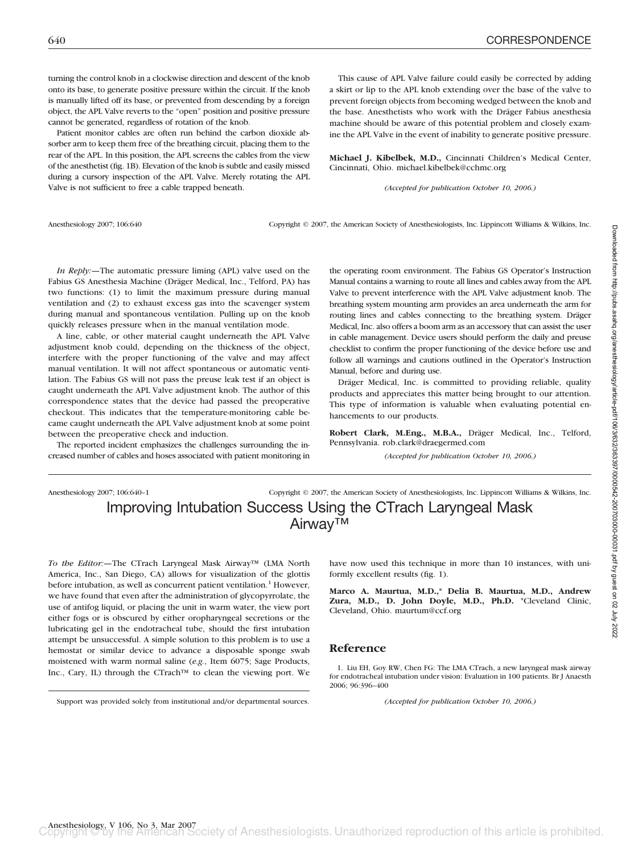turning the control knob in a clockwise direction and descent of the knob onto its base, to generate positive pressure within the circuit. If the knob is manually lifted off its base, or prevented from descending by a foreign object, the APL Valve reverts to the "open" position and positive pressure cannot be generated, regardless of rotation of the knob.

Patient monitor cables are often run behind the carbon dioxide absorber arm to keep them free of the breathing circuit, placing them to the rear of the APL. In this position, the APL screens the cables from the view of the anesthetist (fig. 1B). Elevation of the knob is subtle and easily missed during a cursory inspection of the APL Valve. Merely rotating the APL Valve is not sufficient to free a cable trapped beneath.

This cause of APL Valve failure could easily be corrected by adding a skirt or lip to the APL knob extending over the base of the valve to prevent foreign objects from becoming wedged between the knob and the base. Anesthetists who work with the Dräger Fabius anesthesia machine should be aware of this potential problem and closely examine the APL Valve in the event of inability to generate positive pressure.

**Michael J. Kibelbek, M.D.,** Cincinnati Children's Medical Center, Cincinnati, Ohio. michael.kibelbek@cchmc.org

*(Accepted for publication October 10, 2006.)*

Anesthesiology 2007; 106:640 Copyright © 2007, the American Society of Anesthesiologists, Inc. Lippincott Williams & Wilkins, Inc.

*In Reply:—*The automatic pressure liming (APL) valve used on the Fabius GS Anesthesia Machine (Dräger Medical, Inc., Telford, PA) has two functions: (1) to limit the maximum pressure during manual ventilation and (2) to exhaust excess gas into the scavenger system during manual and spontaneous ventilation. Pulling up on the knob quickly releases pressure when in the manual ventilation mode.

A line, cable, or other material caught underneath the APL Valve adjustment knob could, depending on the thickness of the object, interfere with the proper functioning of the valve and may affect manual ventilation. It will not affect spontaneous or automatic ventilation. The Fabius GS will not pass the preuse leak test if an object is caught underneath the APL Valve adjustment knob. The author of this correspondence states that the device had passed the preoperative checkout. This indicates that the temperature-monitoring cable became caught underneath the APL Valve adjustment knob at some point between the preoperative check and induction.

The reported incident emphasizes the challenges surrounding the increased number of cables and hoses associated with patient monitoring in the operating room environment. The Fabius GS Operator's Instruction Manual contains a warning to route all lines and cables away from the APL Valve to prevent interference with the APL Valve adjustment knob. The breathing system mounting arm provides an area underneath the arm for routing lines and cables connecting to the breathing system. Dräger Medical, Inc. also offers a boom arm as an accessory that can assist the user in cable management. Device users should perform the daily and preuse checklist to confirm the proper functioning of the device before use and follow all warnings and cautions outlined in the Operator's Instruction Manual, before and during use.

Dräger Medical, Inc. is committed to providing reliable, quality products and appreciates this matter being brought to our attention. This type of information is valuable when evaluating potential enhancements to our products.

Robert Clark, M.Eng., M.B.A., Dräger Medical, Inc., Telford, Pennsylvania. rob.clark@draegermed.com

*(Accepted for publication October 10, 2006.)*

# Anesthesiology 2007; 106:640–1 Copyright © 2007, the American Society of Anesthesiologists, Inc. Lippincott Williams & Wilkins, Inc. Improving Intubation Success Using the CTrach Laryngeal Mask Airway™

*To the Editor:—*The CTrach Laryngeal Mask Airway™ (LMA North America, Inc., San Diego, CA) allows for visualization of the glottis before intubation, as well as concurrent patient ventilation.<sup>1</sup> However, we have found that even after the administration of glycopyrrolate, the use of antifog liquid, or placing the unit in warm water, the view port either fogs or is obscured by either oropharyngeal secretions or the lubricating gel in the endotracheal tube, should the first intubation attempt be unsuccessful. A simple solution to this problem is to use a hemostat or similar device to advance a disposable sponge swab moistened with warm normal saline (*e.g.*, Item 6075; Sage Products, Inc., Cary, IL) through the CTrach™ to clean the viewing port. We

Support was provided solely from institutional and/or departmental sources. *(Accepted for publication October 10, 2006.)* 

have now used this technique in more than 10 instances, with uniformly excellent results (fig. 1).

**Marco A. Maurtua, M.D.,\* Delia B. Maurtua, M.D., Andrew Zura, M.D., D. John Doyle, M.D., Ph.D.** \*Cleveland Clinic, Cleveland, Ohio. maurtum@ccf.org

## **Reference**

1. Liu EH, Goy RW, Chen FG: The LMA CTrach, a new laryngeal mask airway for endotracheal intubation under vision: Evaluation in 100 patients. Br J Anaesth 2006; 96:396–400